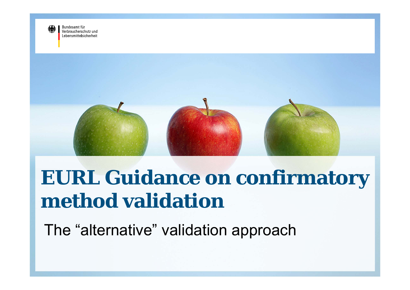

Bundesamt für Verbraucherschutz und I ebensmittelsicherheit



# **EURL Guidance on confirmatory method validation**

The "alternative" validation approach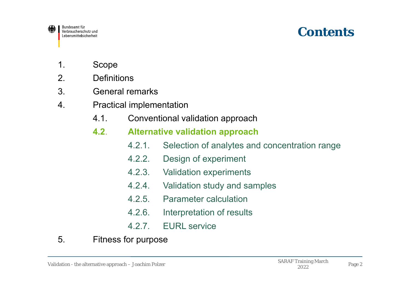

### **Contents**

- 1. Scope
- 2. Definitions
- 3. General remarks
- 4. Practical implementation
	- 4.1. Conventional validation approach

#### **4.2**.**Alternative validation approach**

- 4.2.1. Selection of analytes and concentration range
- 4.2.2. Design of experiment
- 4.2.3. Validation experiments
- 4.2.4. Validation study and samples
- 4.2.5. Parameter calculation
- 4.2.6. Interpretation of results
- 4.2.7. EURL service
- 5. Fitness for purpose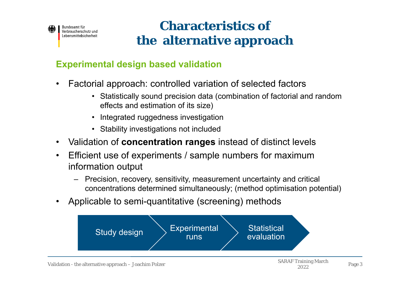

### **Characteristics ofthe alternative approach**

#### **Experimental design based validation**

- • Factorial approach: controlled variation of selected factors
	- Statistically sound precision data (combination of factorial and random effects and estimation of its size)
	- Integrated ruggedness investigation
	- Stability investigations not included
- $\bullet$ Validation of **concentration ranges** instead of distinct levels
- • Efficient use of experiments / sample numbers for maximum information output
	- – Precision, recovery, sensitivity, measurement uncertainty and critical concentrations determined simultaneously; (method optimisation potential)
- •Applicable to semi-quantitative (screening) methods

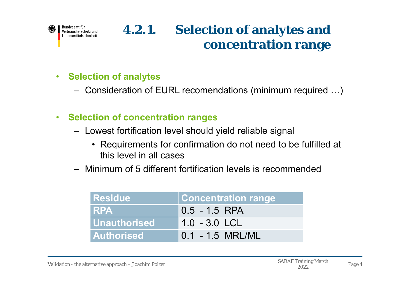

#### $\bullet$ **Selection of analytes**

- Consideration of EURL recomendations (minimum required …)
- $\bullet$  **Selection of concentration ranges**
	- Lowest fortification level should yield reliable signal
		- Requirements for confirmation do not need to be fulfilled at this level in all cases
	- Minimum of 5 different fortification levels is recommended

| <b>Residue</b>      | <b>Concentration range</b> |
|---------------------|----------------------------|
| I RPA               | $0.5 - 1.5$ RPA            |
| <b>Unauthorised</b> | 1.0 - 3.0 LCL              |
| <b>Authorised</b>   | $0.1 - 1.5$ MRL/ML         |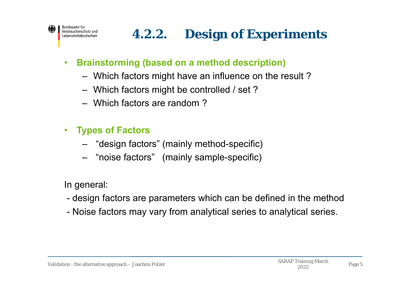## **4.2.2. Design of Experiments**

- $\bullet$  **Brainstorming (based on a method description)**
	- Which factors might have an influence on the result ?
	- Which factors might be controlled / set ?
	- Which factors are random ?
- $\bullet$  **Types of Factors**
	- "design factors" (mainly method-specific)
	- "noise factors" (mainly sample-specific)

In general:

- design factors are parameters which can be defined in the method
- -Noise factors may vary from analytical series to analytical series.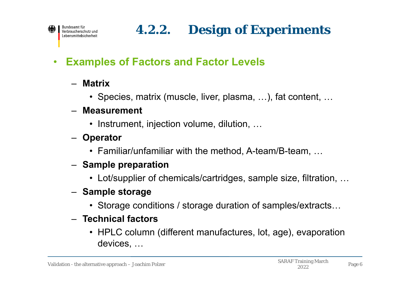## **4.2.2. Design of Experiments**

#### $\bullet$ **Examples of Factors and Factor Levels**

- **Matrix**
	- Species, matrix (muscle, liver, plasma, …), fat content, …

#### – **Measurement**

- Instrument, injection volume, dilution, …
- **Operator**
	- Familiar/unfamiliar with the method, A-team/B-team, …
- **Sample preparation**
	- Lot/supplier of chemicals/cartridges, sample size, filtration, …
- **Sample storage**
	- Storage conditions / storage duration of samples/extracts…
- **Technical factors**
	- HPLC column (different manufactures, lot, age), evaporation devices, …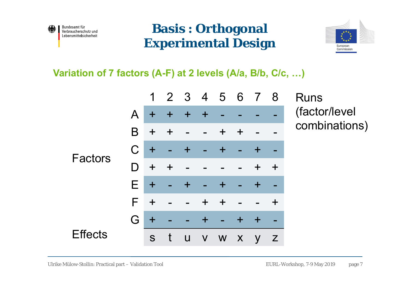

### **Basis : Orthogonal Experimental Design**



**Variation of 7 factors (A-F) at 2 levels (A/a, B/b, C/c, …)**

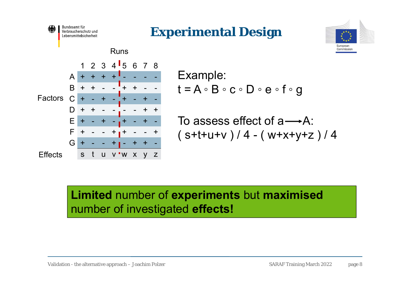







```
Example:
t = A \circ B \circ c \circ D \circ e \circ f \circ g
```

```
To assess effect of a \rightarrow A:
(s+t+u+v)/4 - (w+x+y+z)/4
```

```
Limited number of experiments but maximised
number of investigated effects!
```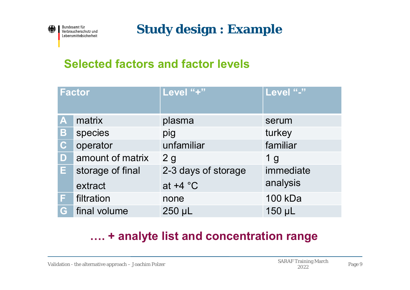

Bundesamt für Verbraucherschutz und Lebensmittelsicherheit

**Study design : Example**

#### **Selected factors and factor levels**

|             | <b>Factor</b>    | Level "+"           | Level "-"      |
|-------------|------------------|---------------------|----------------|
| A           | matrix           | plasma              | serum          |
| Β           | species          | pig                 | turkey         |
| $\mathbf C$ | operator         | unfamiliar          | familiar       |
| D           | amount of matrix | 2g                  | 1 <sub>g</sub> |
| E.          | storage of final | 2-3 days of storage | immediate      |
|             | extract          | at $+4$ °C          | analysis       |
| F.          | filtration       | none                | 100 kDa        |
| G           | final volume     | 250 µL              | 150 µL         |

#### **…. + analyte list and concentration range**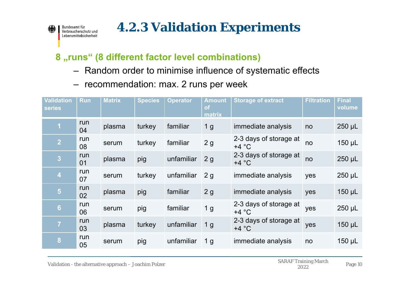Bundesamt für Verbraucherschutz und Lebensmittelsicherheit

#### **8 "runs" (8 different factor level combinations)**

- –Random order to minimise influence of systematic effects
- –recommendation: max. 2 runs per week

| <b>Validation</b><br><b>series</b> | <b>Run</b> | <b>Matrix</b> | <b>Species</b> | <b>Operator</b> | <b>Amount</b><br><b>of</b><br>matrix | <b>Storage of extract</b>         | <b>Filtration</b> | <b>Final</b><br>volume |
|------------------------------------|------------|---------------|----------------|-----------------|--------------------------------------|-----------------------------------|-------------------|------------------------|
| $\mathbf 1$                        | run<br>04  | plasma        | turkey         | familiar        | 1 <sub>g</sub>                       | immediate analysis                | no                | $250$ µL               |
| 2                                  | run<br>08  | serum         | turkey         | familiar        | 2g                                   | 2-3 days of storage at<br>$+4 °C$ | no                | $150$ µL               |
| 3                                  | run<br>01  | plasma        | pig            | unfamiliar      | 2g                                   | 2-3 days of storage at<br>$+4 °C$ | no                | $250$ µL               |
| $\overline{4}$                     | run<br>07  | serum         | turkey         | unfamiliar      | 2 <sub>q</sub>                       | immediate analysis                | yes               | $250 \mu L$            |
| $5\phantom{.}$                     | run<br>02  | plasma        | pig            | familiar        | 2g                                   | immediate analysis                | yes               | $150$ µL               |
| 6                                  | run<br>06  | serum         | pig            | familiar        | 1 <sub>g</sub>                       | 2-3 days of storage at<br>$+4 °C$ | yes               | 250 µL                 |
| $\overline{7}$                     | run<br>03  | plasma        | turkey         | unfamiliar      | 1 <sub>g</sub>                       | 2-3 days of storage at<br>$+4 °C$ | yes               | $150 \mu L$            |
| 8                                  | run<br>05  | serum         | pig            | unfamiliar      | 1 <sub>g</sub>                       | immediate analysis                | no                | 150 µL                 |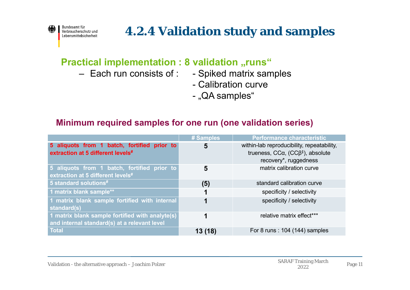

### **4.2.4 Validation study and samples**

#### **Practical implementation : 8 validation "runs"**

- Each run consists of :
- Spiked matrix samples
- Calibration curve
- "QA samples"

#### **Minimum required samples for one run (one validation series)**

|                                                                                                 | # Samples | <b>Performance characteristic</b>                                                                                               |
|-------------------------------------------------------------------------------------------------|-----------|---------------------------------------------------------------------------------------------------------------------------------|
| 5 aliquots from 1 batch, fortified prior to<br>extraction at 5 different levels#                | 5         | within-lab reproducibility, repeatability,<br>trueness, $CC\alpha$ , $(CC\beta^{\ddagger})$ , absolute<br>recovery*, ruggedness |
| 5 aliquots from 1 batch, fortified prior to<br>extraction at 5 different levels#                | 5         | matrix calibration curve                                                                                                        |
| 5 standard solutions#                                                                           | (5)       | standard calibration curve                                                                                                      |
| 1 matrix blank sample**                                                                         | 1         | specificity / selectivity                                                                                                       |
| 1 matrix blank sample fortified with internal<br>standard(s)                                    |           | specificity / selectivity                                                                                                       |
| 1 matrix blank sample fortified with analyte(s)<br>and internal standard(s) at a relevant level |           | relative matrix effect***                                                                                                       |
| <b>Total</b>                                                                                    | 13 (18)   | For 8 runs: 104 (144) samples                                                                                                   |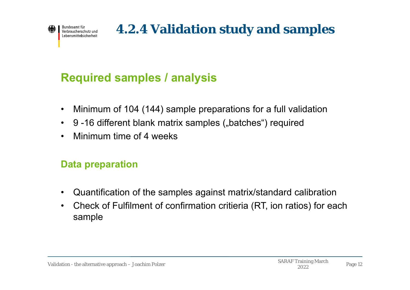

## **4.2.4 Validation study and samples**

#### **Required samples / analysis**

- •Minimum of 104 (144) sample preparations for a full validation
- •9 -16 different blank matrix samples ("batches") required
- •Minimum time of 4 weeks

#### **Data preparation**

- •Quantification of the samples against matrix/standard calibration
- • Check of Fulfilment of confirmation critieria (RT, ion ratios) for each sample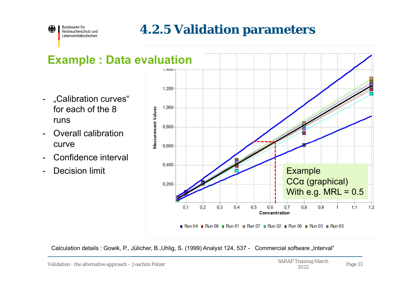

### **4.2.5 Validation parameters**

#### - "Calibration curves" for each of the 8 runs

- - Overall calibration curve
- -Confidence interval
- -



Calculation details : Gowik, P., Jülicher, B., Uhlig, S. (1999) Analyst 124, 537 - Commercial software "Interval"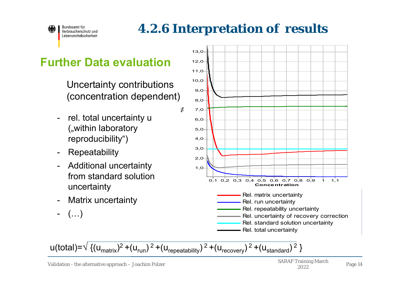

## **4.2.6 Interpretation of results**

#### **Further Data evaluation**

Uncertainty contributions (concentration dependent)

- rel. total uncertainty <sup>u</sup> ("within laboratory reproducibility")
- $\blacksquare$ Repeatability
- Additional uncertainty from standard solution uncertainty
- -Matrix uncertainty
- (…)



u(total)=√ {(u<sub>matrix</sub>)<sup>2</sup> +(u<sub>run</sub>) <sup>2</sup> +(u<sub>repeatability</sub>) <sup>2</sup> +(u<sub>recovery</sub>) <sup>2</sup> +(u<sub>standard</sub>) <sup>2</sup> }

**%**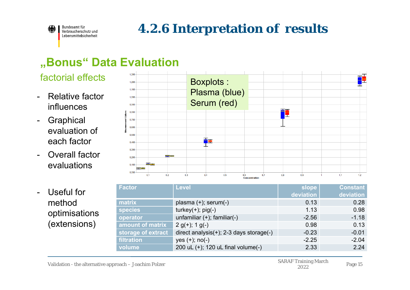

### **4.2.6 Interpretation of results**

### **"Bonus" Data Evaluation**

- $-$  Relative factor influences
- $\blacksquare$ **Graphical** evaluation of each factor
- $\blacksquare$  Overall factor evaluations



#### - Useful for methodoptimisations (extensions)

| <b>Factor</b>      | <b>Level</b>                                   | slope     | <b>Constant</b> |
|--------------------|------------------------------------------------|-----------|-----------------|
|                    |                                                | deviation | deviation       |
| matrix             | plasma $(+)$ ; serum $(-)$                     | 0.13      | 0.28            |
| <b>species</b>     | $turkey(+);$ pig(-)                            | 1.13      | 0.98            |
| operator           | unfamiliar $(+)$ ; familiar $(-)$              | $-2.56$   | $-1.18$         |
| amount of matrix   | $2 g(+); 1 g(-)$                               | 0.98      | 0.13            |
| storage of extract | direct analysis $(+)$ ; 2-3 days storage $(-)$ | $-0.23$   | $-0.01$         |
| filtration         | $yes (+); no(-)$                               | $-2.25$   | $-2.04$         |
| volume             | 200 uL (+); 120 uL final volume(-)             | 2.33      | 2.24            |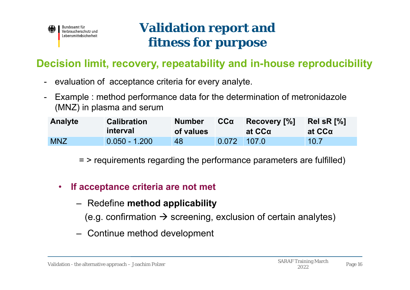

### **Validation report and fitness for purpose**

#### **Decision limit, recovery, repeatability and in-house reproducibility**

- evaluation of acceptance criteria for every analyte.
- - Example : method performance data for the determination of metronidazole (MNZ) in plasma and serum

| <b>Analyte</b> | <b>Calibration</b><br><b>interval</b> | <b>Number</b><br>of values | $CC\alpha$    | Recovery [%]<br>at CCα | Rel sR $[%]$<br>at CCα |
|----------------|---------------------------------------|----------------------------|---------------|------------------------|------------------------|
| <b>MNZ</b>     | $0.050 - 1.200$                       | 48                         | $0.072$ 107.0 |                        | 10.7                   |

= > requirements regarding the performance parameters are fulfilled)

- $\bullet$  **If acceptance criteria are not met**
	- Redefine **method applicability**
		- (e.g. confirmation  $\bm{\rightarrow}$  screening, exclusion of certain analytes)
	- Continue method development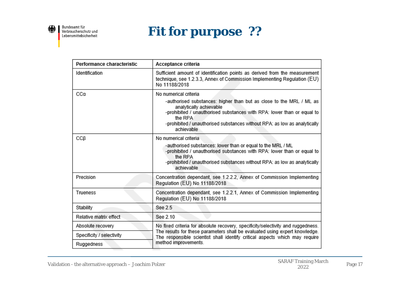

Bundesamt für<br>Verbraucherschutz und Lebensmittelsicherheit

### **Fit for purpose ??**

| Performance characteristic | Acceptance criteria                                                                                                                                                                                                                                                                                     |  |  |
|----------------------------|---------------------------------------------------------------------------------------------------------------------------------------------------------------------------------------------------------------------------------------------------------------------------------------------------------|--|--|
| Identification             | Sufficient amount of identification points as derived from the measurement<br>technique, see 1.2.3.3, Annex of Commission Implementing Regulation (EU)<br>No 11188/2018                                                                                                                                 |  |  |
| CCα                        | No numerical criteria<br>-authorised substances: higher than but as close to the MRL / ML as<br>analytically achievable<br>-prohibited / unauthorised substances with RPA: lower than or equal to<br>the RPA<br>-prohibited / unauthorised substances without RPA: as low as analytically<br>achievable |  |  |
| CCB                        | No numerical criteria<br>-authorised substances: lower than or equal to the MRL / ML<br>-prohibited / unauthorised substances with RPA: lower than or equal to<br>the RPA<br>-prohibited / unauthorised substances without RPA: as low as analytically<br>achievable                                    |  |  |
| Precision                  | Concentration dependant, see 1.2.2.2, Annex of Commission Implementing<br>Regulation (EU) No 11188/2018                                                                                                                                                                                                 |  |  |
| Trueness                   | Concentration dependant, see 1.2.2.1, Annex of Commission Implementing<br>Regulation (EU) No 11188/2018                                                                                                                                                                                                 |  |  |
| Stability                  | See 2.5                                                                                                                                                                                                                                                                                                 |  |  |
| Relative matrix effect     | See 2.10                                                                                                                                                                                                                                                                                                |  |  |
| Absolute recovery          | No fixed criteria for absolute recovery, specificity/selectivity and ruggedness.                                                                                                                                                                                                                        |  |  |
| Specificity / selectivity  | The results for these parameters shall be evaluated using expert knowledge.<br>The responsible scientist shall identify critical aspects which may require                                                                                                                                              |  |  |
| Ruggedness                 | method improvements.                                                                                                                                                                                                                                                                                    |  |  |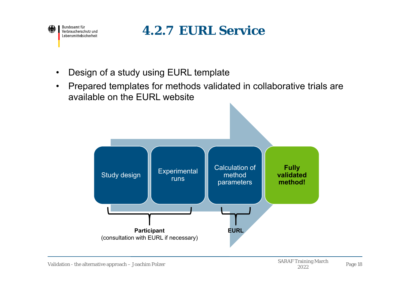

### **4.2.7 EURL Service**

- •Design of a study using EURL template
- • Prepared templates for methods validated in collaborative trials are available on the EURL website